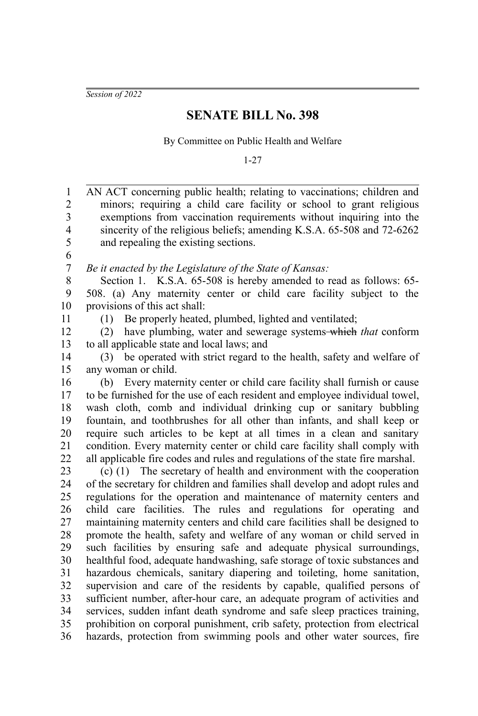*Session of 2022*

## **SENATE BILL No. 398**

By Committee on Public Health and Welfare

1-27

AN ACT concerning public health; relating to vaccinations; children and minors; requiring a child care facility or school to grant religious exemptions from vaccination requirements without inquiring into the sincerity of the religious beliefs; amending K.S.A. 65-508 and 72-6262 and repealing the existing sections. *Be it enacted by the Legislature of the State of Kansas:* Section 1. K.S.A. 65-508 is hereby amended to read as follows: 65-508. (a) Any maternity center or child care facility subject to the provisions of this act shall: (1) Be properly heated, plumbed, lighted and ventilated; (2) have plumbing, water and sewerage systems which *that* conform to all applicable state and local laws; and (3) be operated with strict regard to the health, safety and welfare of any woman or child. (b) Every maternity center or child care facility shall furnish or cause to be furnished for the use of each resident and employee individual towel, wash cloth, comb and individual drinking cup or sanitary bubbling fountain, and toothbrushes for all other than infants, and shall keep or require such articles to be kept at all times in a clean and sanitary condition. Every maternity center or child care facility shall comply with all applicable fire codes and rules and regulations of the state fire marshal. (c) (1) The secretary of health and environment with the cooperation of the secretary for children and families shall develop and adopt rules and regulations for the operation and maintenance of maternity centers and child care facilities. The rules and regulations for operating and maintaining maternity centers and child care facilities shall be designed to promote the health, safety and welfare of any woman or child served in such facilities by ensuring safe and adequate physical surroundings, healthful food, adequate handwashing, safe storage of toxic substances and hazardous chemicals, sanitary diapering and toileting, home sanitation, supervision and care of the residents by capable, qualified persons of sufficient number, after-hour care, an adequate program of activities and services, sudden infant death syndrome and safe sleep practices training, prohibition on corporal punishment, crib safety, protection from electrical hazards, protection from swimming pools and other water sources, fire 1 2 3 4 5 6 7 8 9 10 11 12 13 14 15 16 17 18 19 20 21 22 23 24 25 26 27 28 29 30 31 32 33 34 35 36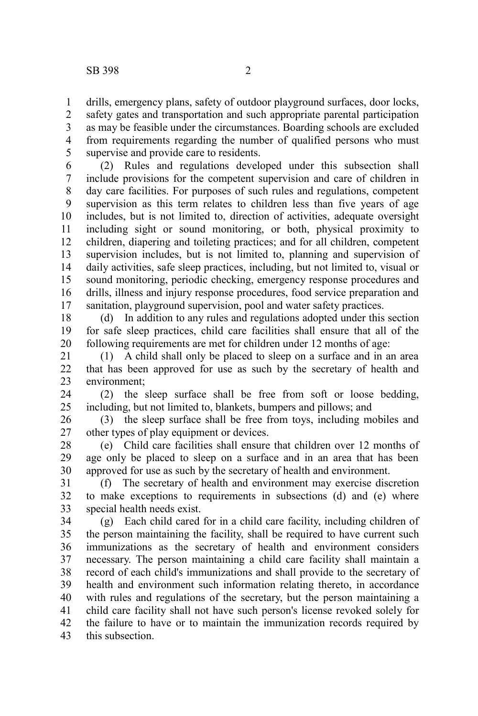drills, emergency plans, safety of outdoor playground surfaces, door locks, safety gates and transportation and such appropriate parental participation as may be feasible under the circumstances. Boarding schools are excluded from requirements regarding the number of qualified persons who must supervise and provide care to residents. 1 2 3 4 5

(2) Rules and regulations developed under this subsection shall include provisions for the competent supervision and care of children in day care facilities. For purposes of such rules and regulations, competent supervision as this term relates to children less than five years of age includes, but is not limited to, direction of activities, adequate oversight including sight or sound monitoring, or both, physical proximity to children, diapering and toileting practices; and for all children, competent supervision includes, but is not limited to, planning and supervision of daily activities, safe sleep practices, including, but not limited to, visual or sound monitoring, periodic checking, emergency response procedures and drills, illness and injury response procedures, food service preparation and sanitation, playground supervision, pool and water safety practices. 6 7 8 9 10 11 12 13 14 15 16 17

(d) In addition to any rules and regulations adopted under this section for safe sleep practices, child care facilities shall ensure that all of the following requirements are met for children under 12 months of age: 18 19 20

(1) A child shall only be placed to sleep on a surface and in an area that has been approved for use as such by the secretary of health and environment; 21 22 23

(2) the sleep surface shall be free from soft or loose bedding, including, but not limited to, blankets, bumpers and pillows; and 24 25

(3) the sleep surface shall be free from toys, including mobiles and other types of play equipment or devices. 26 27

(e) Child care facilities shall ensure that children over 12 months of age only be placed to sleep on a surface and in an area that has been approved for use as such by the secretary of health and environment. 28 29 30

(f) The secretary of health and environment may exercise discretion to make exceptions to requirements in subsections (d) and (e) where special health needs exist. 31 32 33

(g) Each child cared for in a child care facility, including children of the person maintaining the facility, shall be required to have current such immunizations as the secretary of health and environment considers necessary. The person maintaining a child care facility shall maintain a record of each child's immunizations and shall provide to the secretary of health and environment such information relating thereto, in accordance with rules and regulations of the secretary, but the person maintaining a child care facility shall not have such person's license revoked solely for the failure to have or to maintain the immunization records required by this subsection. 34 35 36 37 38 39 40 41 42 43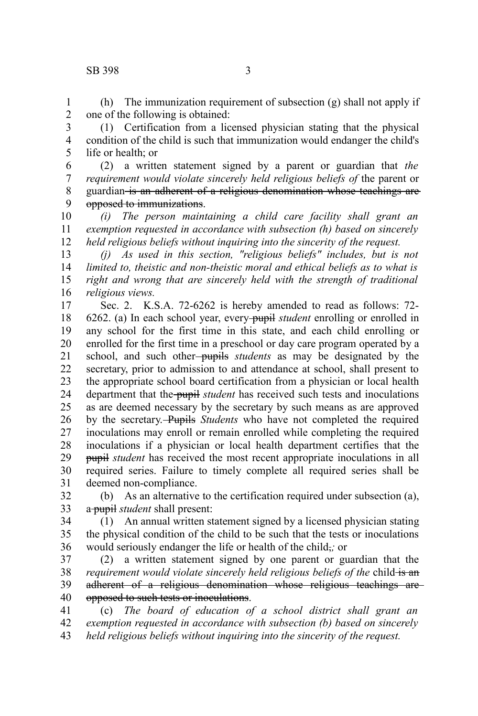## SB 398 3

(h) The immunization requirement of subsection (g) shall not apply if one of the following is obtained: 1 2

(1) Certification from a licensed physician stating that the physical condition of the child is such that immunization would endanger the child's life or health; or 3 4 5

(2) a written statement signed by a parent or guardian that *the requirement would violate sincerely held religious beliefs of* the parent or guardian is an adherent of a religious denomination whose teachings are opposed to immunizations. 6 7 8 9

*(i) The person maintaining a child care facility shall grant an exemption requested in accordance with subsection (h) based on sincerely held religious beliefs without inquiring into the sincerity of the request.* 10 11 12

*(j) As used in this section, "religious beliefs" includes, but is not limited to, theistic and non-theistic moral and ethical beliefs as to what is right and wrong that are sincerely held with the strength of traditional religious views.* 13 14 15 16

Sec. 2. K.S.A. 72-6262 is hereby amended to read as follows: 72- 6262. (a) In each school year, every pupil *student* enrolling or enrolled in any school for the first time in this state, and each child enrolling or enrolled for the first time in a preschool or day care program operated by a school, and such other pupils *students* as may be designated by the secretary, prior to admission to and attendance at school, shall present to the appropriate school board certification from a physician or local health department that the pupil *student* has received such tests and inoculations as are deemed necessary by the secretary by such means as are approved by the secretary. Pupils *Students* who have not completed the required inoculations may enroll or remain enrolled while completing the required inoculations if a physician or local health department certifies that the pupil *student* has received the most recent appropriate inoculations in all required series. Failure to timely complete all required series shall be deemed non-compliance. 17 18 19 20 21 22 23 24 25 26 27 28 29 30 31

(b) As an alternative to the certification required under subsection (a), a pupil *student* shall present: 32 33

(1) An annual written statement signed by a licensed physician stating the physical condition of the child to be such that the tests or inoculations would seriously endanger the life or health of the child,*;* or 34 35 36

(2) a written statement signed by one parent or guardian that the *requirement would violate sincerely held religious beliefs of the child-is an* adherent of a religious denomination whose religious teachings are opposed to such tests or inoculations. 37 38 39 40

(c) *The board of education of a school district shall grant an exemption requested in accordance with subsection (b) based on sincerely held religious beliefs without inquiring into the sincerity of the request.* 41 42 43